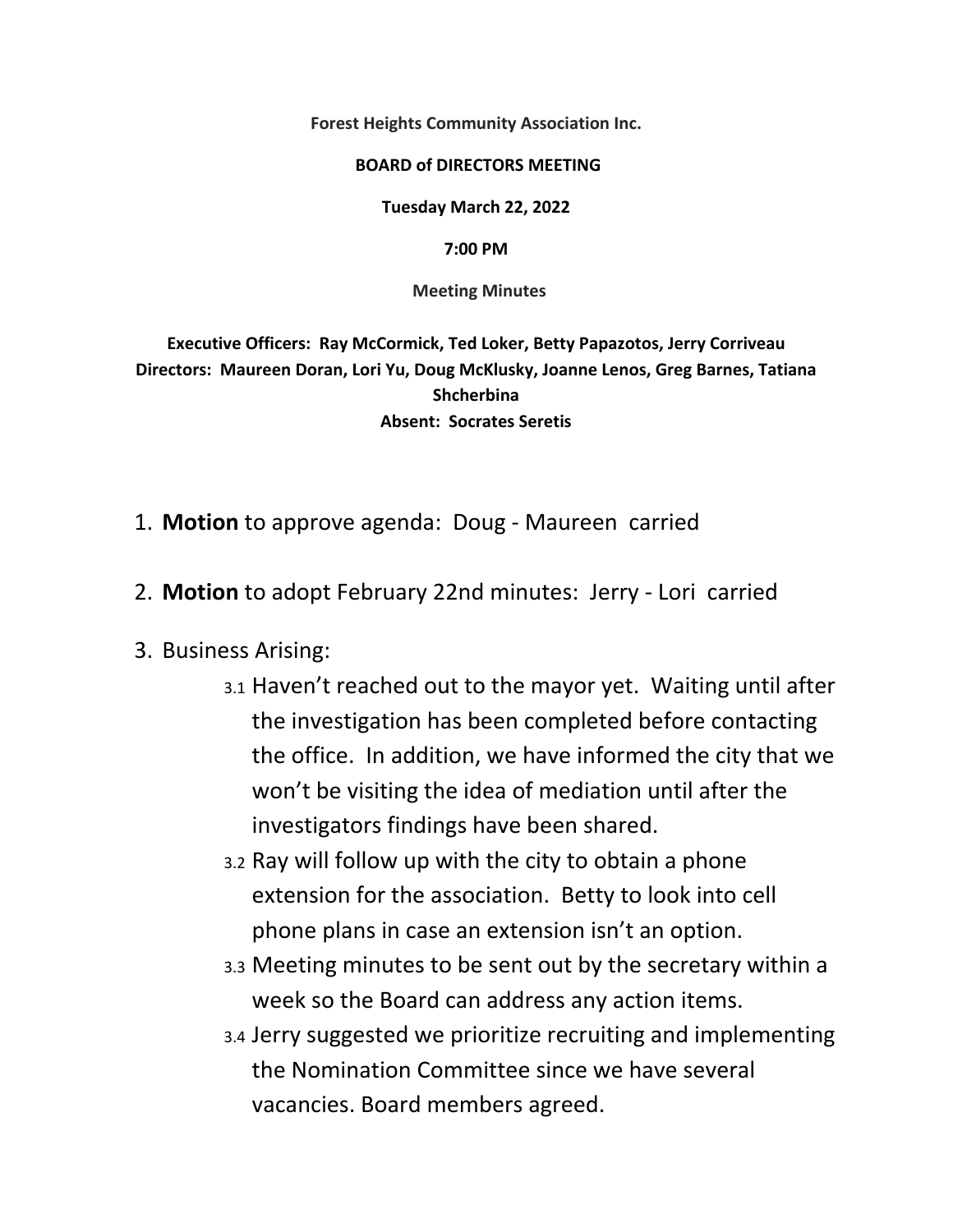**Forest Heights Community Association Inc.** 

## **BOARD of DIRECTORS MEETING**

**Tuesday March 22, 2022** 

**7:00 PM**

 **Meeting Minutes** 

**Executive Officers: Ray McCormick, Ted Loker, Betty Papazotos, Jerry Corriveau Directors: Maureen Doran, Lori Yu, Doug McKlusky, Joanne Lenos, Greg Barnes, Tatiana Shcherbina Absent: Socrates Seretis** 

- 1. **Motion** to approve agenda: Doug ‐ Maureen carried
- 2. **Motion** to adopt February 22nd minutes: Jerry ‐ Lori carried

## 3. Business Arising:

- 3.1 Haven't reached out to the mayor yet. Waiting until after the investigation has been completed before contacting the office. In addition, we have informed the city that we won't be visiting the idea of mediation until after the investigators findings have been shared.
- 3.2 Ray will follow up with the city to obtain a phone extension for the association. Betty to look into cell phone plans in case an extension isn't an option.
- 3.3 Meeting minutes to be sent out by the secretary within a week so the Board can address any action items.
- 3.4 Jerry suggested we prioritize recruiting and implementing the Nomination Committee since we have several vacancies. Board members agreed.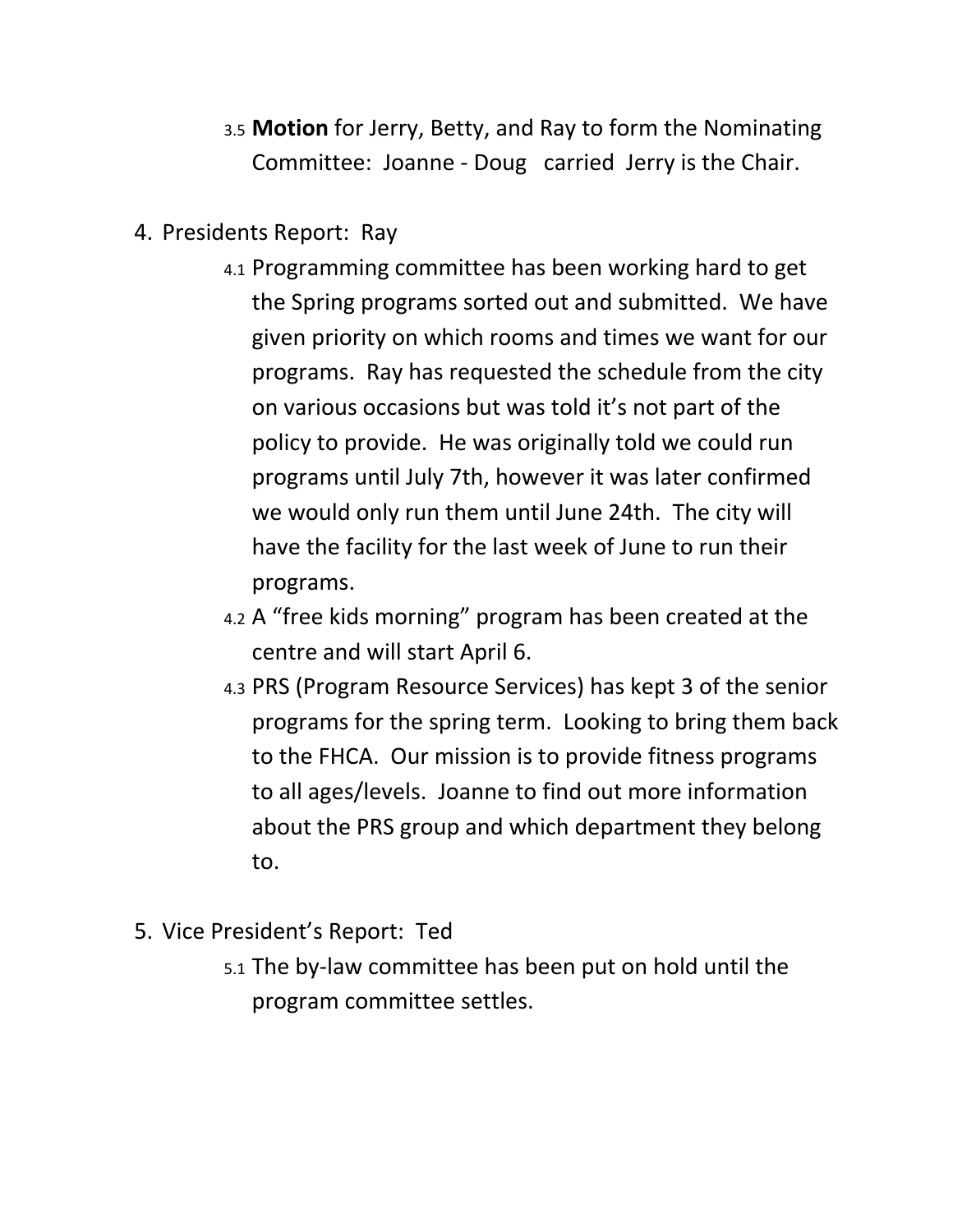- 3.5 **Motion** for Jerry, Betty, and Ray to form the Nominating Committee: Joanne ‐ Doug carried Jerry is the Chair.
- 4. Presidents Report: Ray
	- 4.1 Programming committee has been working hard to get the Spring programs sorted out and submitted. We have given priority on which rooms and times we want for our programs. Ray has requested the schedule from the city on various occasions but was told it's not part of the policy to provide. He was originally told we could run programs until July 7th, however it was later confirmed we would only run them until June 24th. The city will have the facility for the last week of June to run their programs.
	- 4.2 A "free kids morning" program has been created at the centre and will start April 6.
	- 4.3 PRS (Program Resource Services) has kept 3 of the senior programs for the spring term. Looking to bring them back to the FHCA. Our mission is to provide fitness programs to all ages/levels. Joanne to find out more information about the PRS group and which department they belong to.
- 5. Vice President's Report: Ted
	- 5.1 The by‐law committee has been put on hold until the program committee settles.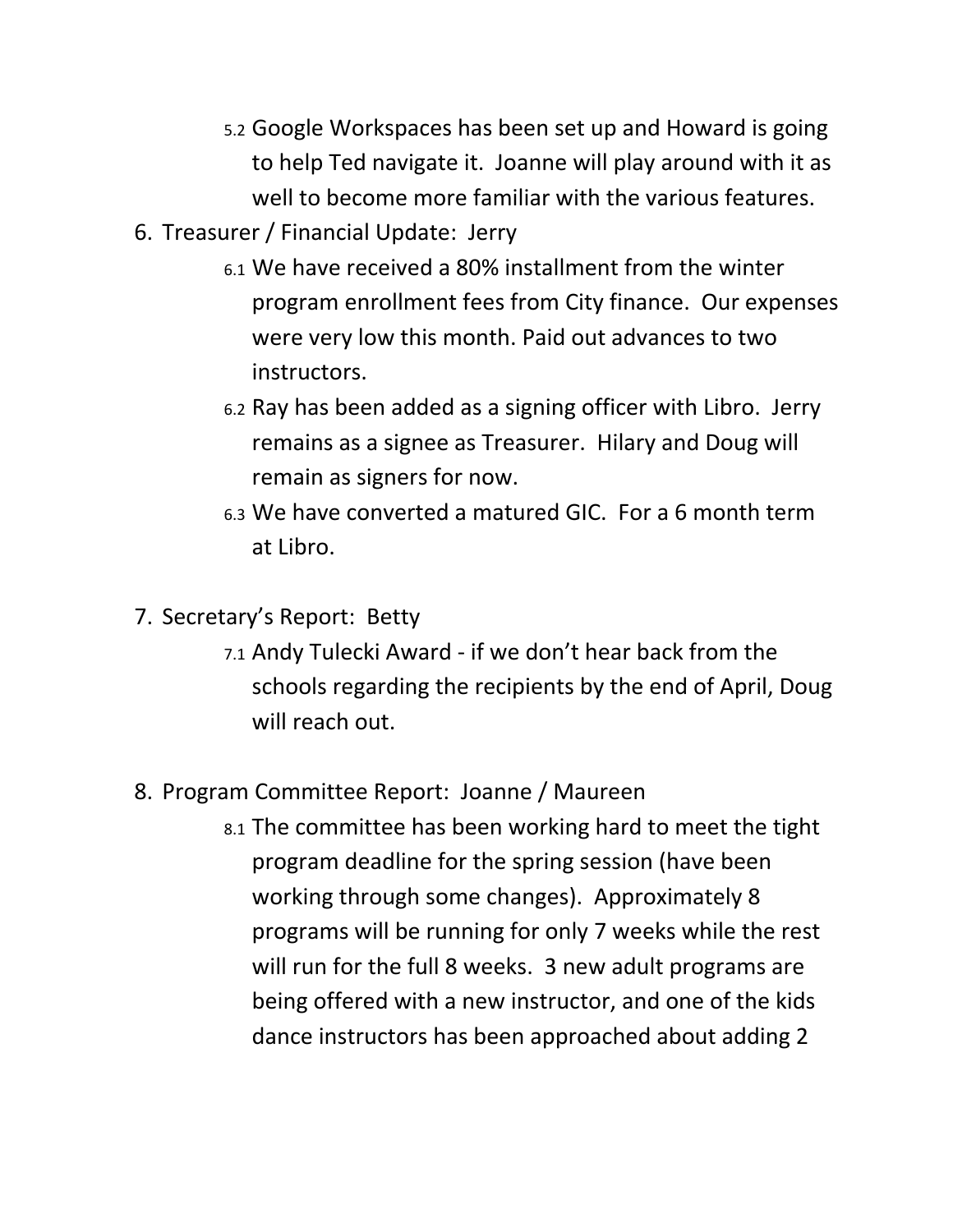- 5.2 Google Workspaces has been set up and Howard is going to help Ted navigate it. Joanne will play around with it as well to become more familiar with the various features.
- 6. Treasurer / Financial Update: Jerry
	- 6.1 We have received a 80% installment from the winter program enrollment fees from City finance. Our expenses were very low this month. Paid out advances to two instructors.
	- 6.2 Ray has been added as a signing officer with Libro. Jerry remains as a signee as Treasurer. Hilary and Doug will remain as signers for now.
	- 6.3 We have converted a matured GIC. For a 6 month term at Libro.
- 7. Secretary's Report: Betty
	- 7.1 Andy Tulecki Award ‐ if we don't hear back from the schools regarding the recipients by the end of April, Doug will reach out.
- 8. Program Committee Report: Joanne / Maureen
	- 8.1 The committee has been working hard to meet the tight program deadline for the spring session (have been working through some changes). Approximately 8 programs will be running for only 7 weeks while the rest will run for the full 8 weeks. 3 new adult programs are being offered with a new instructor, and one of the kids dance instructors has been approached about adding 2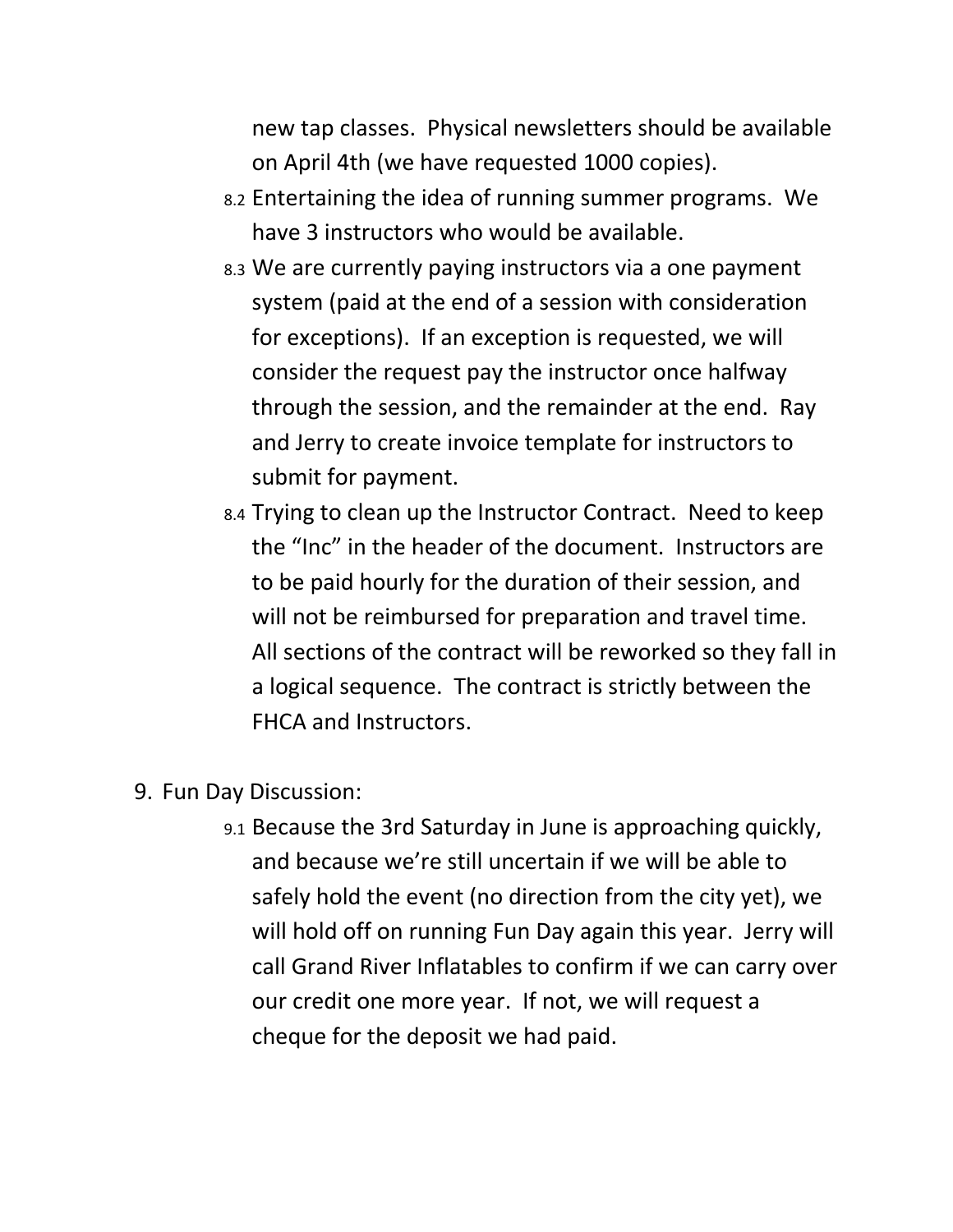new tap classes. Physical newsletters should be available on April 4th (we have requested 1000 copies).

- 8.2 Entertaining the idea of running summer programs. We have 3 instructors who would be available.
- 8.3 We are currently paying instructors via a one payment system (paid at the end of a session with consideration for exceptions). If an exception is requested, we will consider the request pay the instructor once halfway through the session, and the remainder at the end. Ray and Jerry to create invoice template for instructors to submit for payment.
- 8.4 Trying to clean up the Instructor Contract. Need to keep the "Inc" in the header of the document. Instructors are to be paid hourly for the duration of their session, and will not be reimbursed for preparation and travel time. All sections of the contract will be reworked so they fall in a logical sequence. The contract is strictly between the FHCA and Instructors.
- 9. Fun Day Discussion:
	- 9.1 Because the 3rd Saturday in June is approaching quickly, and because we're still uncertain if we will be able to safely hold the event (no direction from the city yet), we will hold off on running Fun Day again this year. Jerry will call Grand River Inflatables to confirm if we can carry over our credit one more year. If not, we will request a cheque for the deposit we had paid.